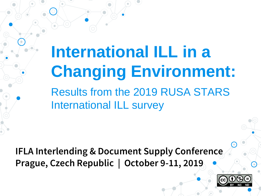**International ILL in a Changing Environment:**  Results from the 2019 RUSA STARS International ILL survey

**IFLA Interlending & Document Supply Conference Prague, Czech Republic | October 9-11, 2019**

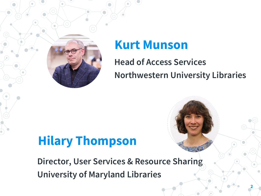

#### **Kurt Munson**

**Head of Access Services Northwestern University Libraries** 

### **Hilary Thompson**

**Director, User Services & Resource Sharing University of Maryland Libraries**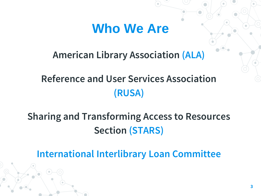#### **Who We Are**

#### **American Library Association (ALA)**

#### **Reference and User Services Association (RUSA)**

#### **Sharing and Transforming Access to Resources Section (STARS)**

**International Interlibrary Loan Committee**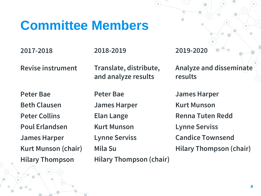#### **Committee Members**

**2017-2018**

**Revise instrument**

**2018-2019**

**Translate, distribute, and analyze results**

**Analyze and disseminate results**

**2019-2020**

**Peter Bae Beth Clausen Peter Collins Poul Erlandsen James Harper Kurt Munson (chair) Hilary Thompson**

**Peter Bae James Harper Elan Lange Kurt Munson Lynne Serviss Mila Su Hilary Thompson (chair)**

**James Harper Kurt Munson Renna Tuten Redd Lynne Serviss Candice Townsend Hilary Thompson (chair)**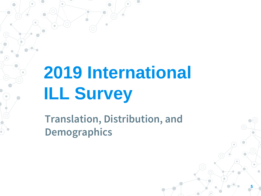# **2019 International ILL Survey**

**Translation, Distribution, and Demographics**

**5**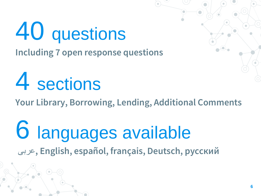## 40 questions **Including 7 open response questions**

# 4 sections

**Your Library, Borrowing, Lending, Additional Comments**

## 6 languages available عربى**, English, español, français, Deutsch, русский**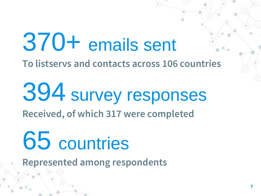# 370+ emails sent

**To listservs and contacts across 106 countries** 

394 survey responses **Received, of which 317 were completed** 

# 65 countries

**Represented among respondents**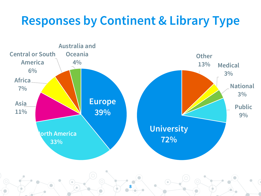### **Responses by Continent & Library Type**



**8**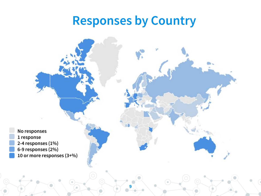#### **Responses by Country**

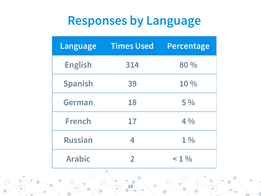### **Responses by Language**

| Language       | <b>Times Used</b> | Percentage |
|----------------|-------------------|------------|
| <b>English</b> | 314               | 80 %       |
| <b>Spanish</b> | 39                | 10 %       |
| <b>German</b>  | 18                | 5%         |
| <b>French</b>  | 17                | 4%         |
| <b>Russian</b> | 4                 | $1\%$      |
| <b>Arabic</b>  | 2                 | < 1 %      |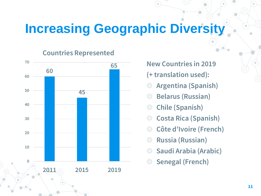### **Increasing Geographic Diversity**

**Countries Represented**



**New Countries in 2019** 

- **(+ translation used):**
- ◎ **Argentina (Spanish)**
- ◎ **Belarus (Russian)**
- ◎ **Chile (Spanish)**
- ◎ **Costa Rica (Spanish)**
- ◎ **Côte d'Ivoire (French)**
- ◎ **Russia (Russian)**
- ◎ **Saudi Arabia (Arabic)**
- ◎ **Senegal (French)**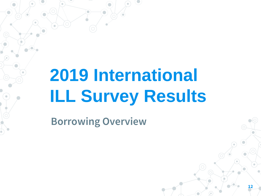## **2019 International ILL Survey Results**

**Borrowing Overview**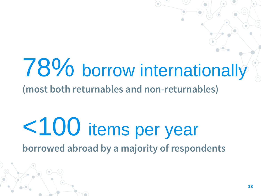## 78% borrow internationally **(most both returnables and non-returnables)**

## <100 items per year **borrowed abroad by a majority of respondents**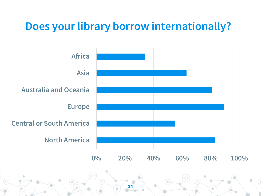#### **Does your library borrow internationally?**

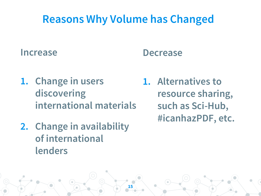#### **Reasons Why Volume has Changed**

#### **Increase**

#### **Decrease**

- **1. Change in users discovering international materials**
- **2. Change in availability of international lenders**
- **1. Alternatives to resource sharing, such as Sci-Hub, #icanhazPDF, etc.**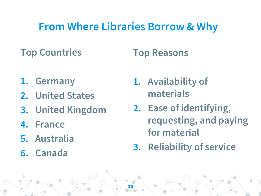#### **From Where Libraries Borrow & Why**

**16**

#### **Top Countries**

#### **Top Reasons**

- **1. Germany**
- **2. United States**
- **3. United Kingdom**
- **4. France**
- **5. Australia**
- **6. Canada**
- **1. Availability of materials**
- **2. Ease of identifying, requesting, and paying for material**
- **3. Reliability of service**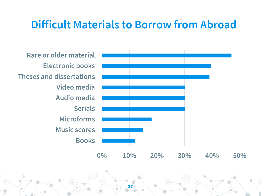#### **Difficult Materials to Borrow from Abroad**

**Books Music scores Microforms Serials Audio media Video media Theses and dissertations Electronic books Rare or older material**

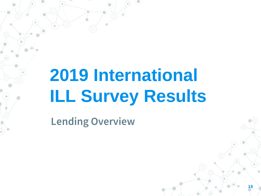## **2019 International ILL Survey Results**

**Lending Overview**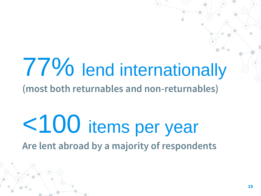## 77% lend internationally **(most both returnables and non-returnables)**

## <100 items per year **Are lent abroad by a majority of respondents**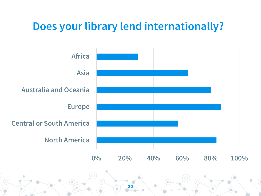#### **Does your library lend internationally?**

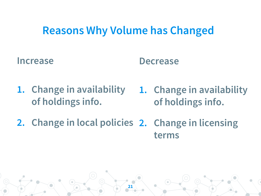#### **Reasons Why Volume has Changed**

**Increase**

#### **Decrease**

- **1. Change in availability of holdings info.**
- **1. Change in availability of holdings info.**
- **2. Change in local policies 2. Change in licensing terms**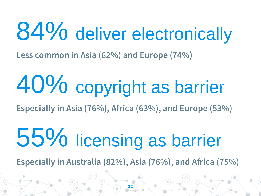# 84% deliver electronically

**Less common in Asia (62%) and Europe (74%)**

# 40% copyright as barrier

**Especially in Asia (76%), Africa (63%), and Europe (53%)** 

# 55% licensing as barrier

**Especially in Australia (82%), Asia (76%), and Africa (75%)**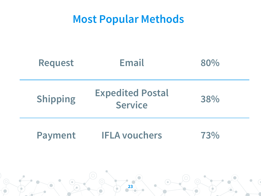#### **Most Popular Methods**

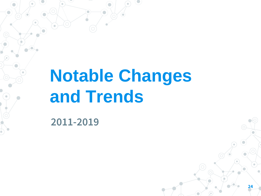## **Notable Changes and Trends**

**2011-2019**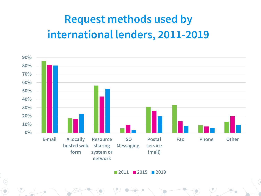#### **Request methods used by international lenders, 2011-2019**



**2011 2015 2019**

**25**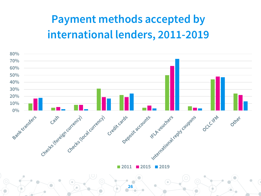#### **Payment methods accepted by international lenders, 2011-2019**

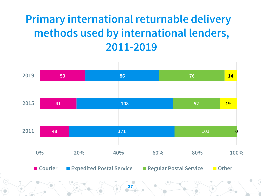#### **Primary international returnable delivery methods used by international lenders, 2011-2019**

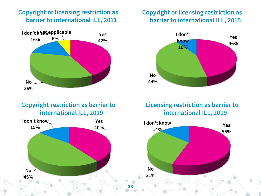#### **Copyright or licensing restriction as barrier to international ILL, 2011**



#### **Copyright restriction as barrier to international ILL, 2019**



**28**

#### **Copyright or licensing restriction as barrier to international ILL, 2015**



#### **Licensing restriction as barrier to international ILL, 2019**

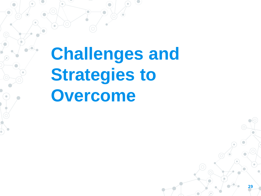**Challenges and Strategies to Overcome**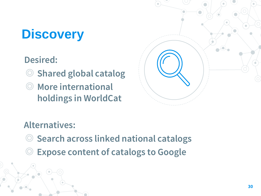## **Discovery**

**Desired:**

- ◎ **Shared global catalog**
- ◎ **More international holdings in WorldCat**



#### **Alternatives:**

- ◎ **Search across linked national catalogs**
- **Expose content of catalogs to Google**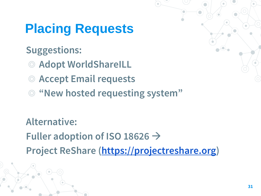## **Placing Requests**

#### **Suggestions:**

- ◎ **Adopt WorldShareILL**
- ◎ **Accept Email requests**
- ◎ **"New hosted requesting system"**

**Alternative: Fuller adoption of ISO 18626 Project ReShare ([https://projectreshare.org\)](https://projectreshare.org/)**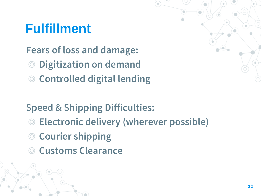### **Fulfillment**

**Fears of loss and damage:** 

- **Digitization on demand**
- ◎ **Controlled digital lending**

#### **Speed & Shipping Difficulties:**

- ◎ **Electronic delivery (wherever possible)**
- ◎ **Courier shipping**
- ◎ **Customs Clearance**

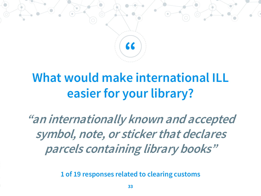

### **What would make international ILL easier for your library?**

**"an internationally known and accepted symbol, note, or sticker that declares parcels containing library books"** 

**1 of 19 responses related to clearing customs**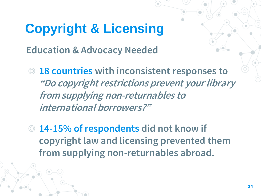## **Copyright & Licensing**

**Education & Advocacy Needed**

- ◎ **18 countries with inconsistent responses to "Do copyright restrictions prevent your library from supplying non-returnables to international borrowers?"**
- ◎ **14-15% of respondents did not know if copyright law and licensing prevented them from supplying non-returnables abroad.**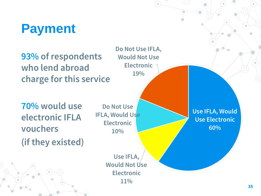### **Payment**

**93% of respondents who lend abroad charge for this service**

**70% would use electronic IFLA vouchers (if they existed)**

**Do Not Use IFLA, Would Use Electronic 10%**

**Do Not Use IFLA,** 

**Would Not Use** 

**Electronic**

**19%**

**Use IFLA, Would Not Use Electronic 11%**

**Use IFLA, Would Use Electronic 60%**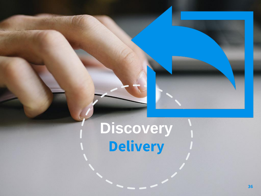## **Discovery Delivery**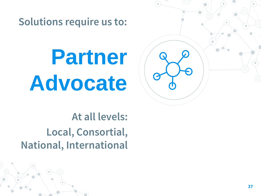**Solutions require us to:**

**Partner Advocate**

**At all levels: Local, Consortial, National, International**